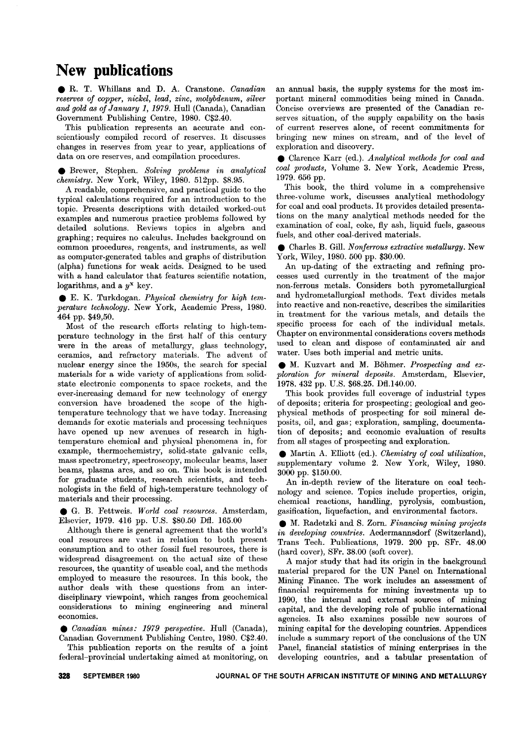## **New publications**

. R. T. Whillans and D. A. Cranstone. *Canadian reserves of copper, nickel, lead, zinc, molybdenum, silver and gold as of January* 1, 1979. Hull (Canada), Canadian Government Publishing Centre, 1980. C\$2.40.

This publication represents an accurate and conscientiously compiled record of reserves. It discusses changes in reserves from year to year, applications of data on ore reserves, and compilation procedures.

. Brewer, Stephen. *Solving problems in analytical chemistry.* New York, Wiley, 1980. 512pp. \$8.95.

A readable, comprehensive, and practical guide to the typical calculations required for an introduction to the topic. Presents descriptions with detailed worked-out examples and numerous practice problems followed by detailed solutions. Reviews topics in algebra and graphing; requires no calculus. Includes background on common procedures, reagents, and instruments, as well as computer-generated tables and graphs of distribution (alpha) functions for weak acids. Designed to be used with a hand calculator that features scientific notation, logarithms, and a *yX* key.

. E. K. Turkdogan. *Physical chemistry for high temperature technology.* New York, Academic Press, 1980. 464 pp. \$49,50.

Most of the research efforts relating to high-temperature technology in the first half of this century were in the areas of metallurgy, glass technology, ceramics, and refractory materials. The advent of nuclear energy since the 1950s, the search for special materials for a wide variety of applications from solidstate electronic components to space rockets, and the ever-increasing demand for new technology of energy conversion have broadened the scope of the hightemperature technology that we have today. Increasing demands for exotic materials and processing techniques have opened up new avenues of research in hightemperature chemical and physical phenomena in, for example, thermochemistry, solid-state galvanic cells, mass spectrometry, spectroscopy, molecular beams, laser beams, plasma arcs, and so on. This book is intended for graduate students, research scientists, and technologists in the field of high-temperature technology of materials and their processing.

. G. B. Fettweis. *World coal resources.* Amsterdam, Elsevier, 1979. 416 pp. U.S. \$80.50 Dfl. 165.00

Although there is general agreement that the world's coal resources are vast in relation to both present consumption and to other fossil fuel resources, there is widespread disagreement on the actual size of these resources, the quantity of useable coal, and the methods employed to measure the resources. In this book, the author deals with these questions from an interdisciplinary viewpoint, which ranges from geochemical considerations to mining engineering and mineral economics.

. *Canadian mines:* <sup>1979</sup> *perspective.* Hull (Canada), Canadian Government Publishing Centre, 1980. C\$2.40.

This publication reports on the results of a joint federal-provincial undertaking aimed at monitoring, on an annual basis, the supply systems for the most important mineral commodities being mined in Canada. Concise overviews are presented of the Canadian reserves situation, of the supply capability on the basis of current reserves alone, of recent commitments for bringing new mines on stream, and of the level of exploration and discovery.

. Clarence Karr (ed.). *Analytical methods for coal and coal products,* Volume 3. New York, Academic Press, 1979. 656 pp.

This book, the third volume in a comprehensive three-volume work, discusses analytical methodology for coal and coal products. It provides detailed presentations on the many analytical methods needed for the examination of coal, coke, fly ash, liquid fuels, gaseous fuels, and other coal-derived materials.

. Charles B. Gill. *Nonferrous extractive metallurgy.* New York, Wiley, 1980. 500 pp. \$30.00.

An up-dating of the extracting and refining processes used currently in the treatment of the major non-ferrous metals. Considers both pyrometallurgical and hydrometallurgical methods. Text divides metals into reactive and non-reactive, describes the similarities in treatment for the various metals, and details the specific process for each of the individual metals. Chapter on environmental considerations covers methods used to clean and dispose of contaminated air and water. Uses both imperial and metric units.

. M. Kuzvart and M. B6hmer. *Prospecting and exploration for mineral deposits.* Amsterdam, Elsevier, 1978. 432 pp. U.S. \$68.25. Dfl.140.00.

This book provides full coverage of industrial types of deposits; criteria for prospecting; geological and geophysical methods of prospecting for soil mineral deposits, oil, and gas; exploration, sampling, documentation of deposits; and economic evaluation of results from all stages of prospecting and exploration.

. Martin A. Elliott (ed.). *Chemistry of coal utilization,* supplementary volume 2. New York, Wiley, 1980. 3000 pp. \$150.00.

An in-depth review of the literature on coal technology and science. Topics include properties, origin, chemical reactions, handling, pyrolysis, combustion, gasification, liquefaction, and environmental factors.

. M. Radetzki and S. Zorn. *Financing mining projects in developing countries.* Aedermannsdorf (Switzerland), Trans Tech. Publications, 1979. 200 pp. SFr. 48.00 (hard cover), SFr. 38.00 (soft cover).

A major study that had its origin in the background material prepared for the UN Panel on International Mining Finance. The work includes an assessment of financial requirements for mining investments up to 1990, the internal and external sources of mining capital, and the developing role of public international agencies. It also examines possible new sources of mining capital for the developing countries. Appendices include a summary report of the conclusions of the UN Panel, financial statistics of mining enterprises in the developing countries, and a tabular presentation of